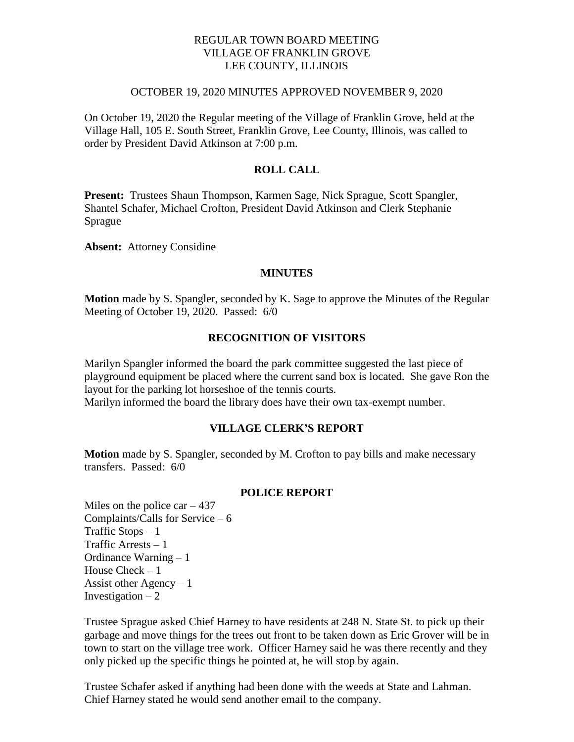# REGULAR TOWN BOARD MEETING VILLAGE OF FRANKLIN GROVE LEE COUNTY, ILLINOIS

### OCTOBER 19, 2020 MINUTES APPROVED NOVEMBER 9, 2020

On October 19, 2020 the Regular meeting of the Village of Franklin Grove, held at the Village Hall, 105 E. South Street, Franklin Grove, Lee County, Illinois, was called to order by President David Atkinson at 7:00 p.m.

# **ROLL CALL**

**Present:** Trustees Shaun Thompson, Karmen Sage, Nick Sprague, Scott Spangler, Shantel Schafer, Michael Crofton, President David Atkinson and Clerk Stephanie Sprague

**Absent:** Attorney Considine

#### **MINUTES**

**Motion** made by S. Spangler, seconded by K. Sage to approve the Minutes of the Regular Meeting of October 19, 2020. Passed: 6/0

### **RECOGNITION OF VISITORS**

Marilyn Spangler informed the board the park committee suggested the last piece of playground equipment be placed where the current sand box is located. She gave Ron the layout for the parking lot horseshoe of the tennis courts. Marilyn informed the board the library does have their own tax-exempt number.

## **VILLAGE CLERK'S REPORT**

**Motion** made by S. Spangler, seconded by M. Crofton to pay bills and make necessary transfers. Passed: 6/0

#### **POLICE REPORT**

Miles on the police car  $-437$ Complaints/Calls for Service – 6 Traffic Stops  $-1$ Traffic Arrests – 1 Ordinance Warning – 1 House Check – 1 Assist other Agency  $-1$ Investigation  $-2$ 

Trustee Sprague asked Chief Harney to have residents at 248 N. State St. to pick up their garbage and move things for the trees out front to be taken down as Eric Grover will be in town to start on the village tree work. Officer Harney said he was there recently and they only picked up the specific things he pointed at, he will stop by again.

Trustee Schafer asked if anything had been done with the weeds at State and Lahman. Chief Harney stated he would send another email to the company.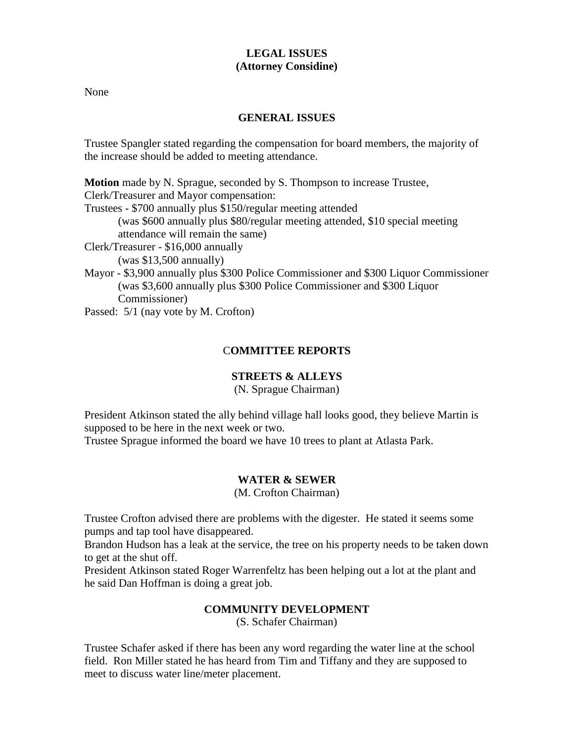# **LEGAL ISSUES (Attorney Considine)**

None

# **GENERAL ISSUES**

Trustee Spangler stated regarding the compensation for board members, the majority of the increase should be added to meeting attendance.

**Motion** made by N. Sprague, seconded by S. Thompson to increase Trustee, Clerk/Treasurer and Mayor compensation: Trustees - \$700 annually plus \$150/regular meeting attended (was \$600 annually plus \$80/regular meeting attended, \$10 special meeting attendance will remain the same) Clerk/Treasurer - \$16,000 annually (was \$13,500 annually) Mayor - \$3,900 annually plus \$300 Police Commissioner and \$300 Liquor Commissioner (was \$3,600 annually plus \$300 Police Commissioner and \$300 Liquor Commissioner)

Passed: 5/1 (nay vote by M. Crofton)

# C**OMMITTEE REPORTS**

# **STREETS & ALLEYS**

(N. Sprague Chairman)

President Atkinson stated the ally behind village hall looks good, they believe Martin is supposed to be here in the next week or two.

Trustee Sprague informed the board we have 10 trees to plant at Atlasta Park.

# **WATER & SEWER**

(M. Crofton Chairman)

Trustee Crofton advised there are problems with the digester. He stated it seems some pumps and tap tool have disappeared.

Brandon Hudson has a leak at the service, the tree on his property needs to be taken down to get at the shut off.

President Atkinson stated Roger Warrenfeltz has been helping out a lot at the plant and he said Dan Hoffman is doing a great job.

# **COMMUNITY DEVELOPMENT**

(S. Schafer Chairman)

Trustee Schafer asked if there has been any word regarding the water line at the school field. Ron Miller stated he has heard from Tim and Tiffany and they are supposed to meet to discuss water line/meter placement.